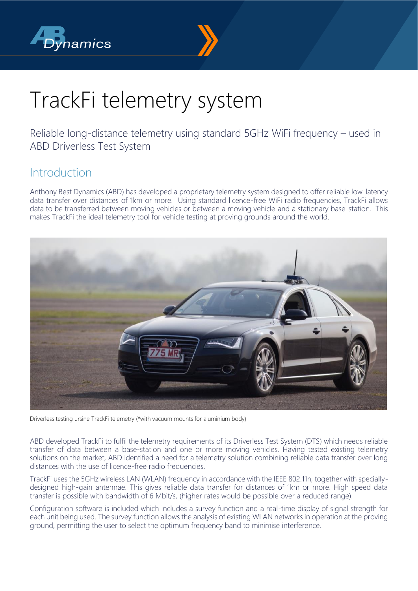



# TrackFi telemetry system

Reliable long-distance telemetry using standard 5GHz WiFi frequency – used in ABD Driverless Test System

#### Introduction

Anthony Best Dynamics (ABD) has developed a proprietary telemetry system designed to offer reliable low-latency data transfer over distances of 1km or more. Using standard licence-free WiFi radio frequencies, TrackFi allows data to be transferred between moving vehicles or between a moving vehicle and a stationary base-station. This makes TrackFi the ideal telemetry tool for vehicle testing at proving grounds around the world.



Driverless testing ursine TrackFi telemetry (\*with vacuum mounts for aluminium body)

ABD developed TrackFi to fulfil the telemetry requirements of its Driverless Test System (DTS) which needs reliable transfer of data between a base-station and one or more moving vehicles. Having tested existing telemetry solutions on the market, ABD identified a need for a telemetry solution combining reliable data transfer over long distances with the use of licence-free radio frequencies.

TrackFi uses the 5GHz wireless LAN (WLAN) frequency in accordance with the IEEE 802.11n, together with speciallydesigned high-gain antennae. This gives reliable data transfer for distances of 1km or more. High speed data transfer is possible with bandwidth of 6 Mbit/s, (higher rates would be possible over a reduced range).

Configuration software is included which includes a survey function and a real-time display of signal strength for each unit being used. The survey function allows the analysis of existing WLAN networks in operation at the proving ground, permitting the user to select the optimum frequency band to minimise interference.